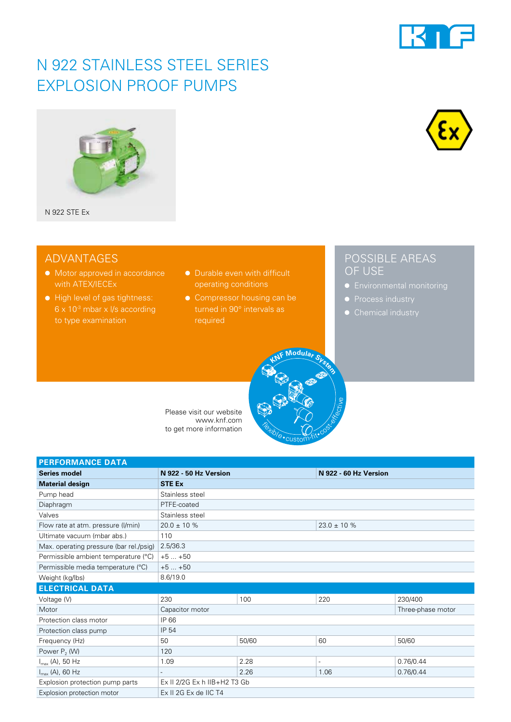# N 922 STAINLESS STEEL SERIES EXPLOSION PROOF PUMPS







### ADVANTAGES

- Motor approved in accordance with ATEX/IECEx
- High level of gas tightness:  $6 \times 10^{-3}$  mbar x I/s according to type examination
- Durable even with difficult operating conditions
- Compressor housing can be turned in 90° intervals as required

### POSSIBLE AREAS OF USE

- 
- 
- 

Please visit our website www.knf.com to get more information

| <b>PERFORMANCE DATA</b>                 |                              |       |                       |                   |
|-----------------------------------------|------------------------------|-------|-----------------------|-------------------|
| <b>Series model</b>                     | N 922 - 50 Hz Version        |       | N 922 - 60 Hz Version |                   |
| <b>Material design</b>                  | <b>STE Ex</b>                |       |                       |                   |
| Pump head                               | Stainless steel              |       |                       |                   |
| Diaphragm                               | PTFE-coated                  |       |                       |                   |
| Valves                                  | Stainless steel              |       |                       |                   |
| Flow rate at atm. pressure (I/min)      | $20.0 \pm 10 \%$             |       | $23.0 \pm 10 \%$      |                   |
| Ultimate vacuum (mbar abs.)             | 110                          |       |                       |                   |
| Max. operating pressure (bar rel./psig) | 2.5/36.3                     |       |                       |                   |
| Permissible ambient temperature (°C)    | $+5+50$                      |       |                       |                   |
| Permissible media temperature (°C)      | $+5+50$                      |       |                       |                   |
| Weight (kg/lbs)                         | 8.6/19.0                     |       |                       |                   |
| <b>ELECTRICAL DATA</b>                  |                              |       |                       |                   |
| Voltage (V)                             | 230                          | 100   | 220                   | 230/400           |
| Motor                                   | Capacitor motor              |       |                       | Three-phase motor |
| Protection class motor                  | IP 66                        |       |                       |                   |
| Protection class pump                   | IP 54                        |       |                       |                   |
| Frequency (Hz)                          | 50                           | 50/60 | 60                    | 50/60             |
| Power $P_2$ (W)                         | 120                          |       |                       |                   |
| $I_{\text{max}}$ (A), 50 Hz             | 1.09                         | 2.28  | $\overline{a}$        | 0.76/0.44         |
| $I_{\text{max}}$ (A), 60 Hz             |                              | 2.26  | 1.06                  | 0.76/0.44         |
| Explosion protection pump parts         | Ex II 2/2G Ex h IIB+H2 T3 Gb |       |                       |                   |
| Explosion protection motor              | Ex II 2G Ex de IIC T4        |       |                       |                   |

**Flexible** 

custom-fit• cost-effective

**<sup>K</sup>N<sup>F</sup> <sup>M</sup>odula<sup>r</sup> <sup>S</sup>yste<sup>m</sup>**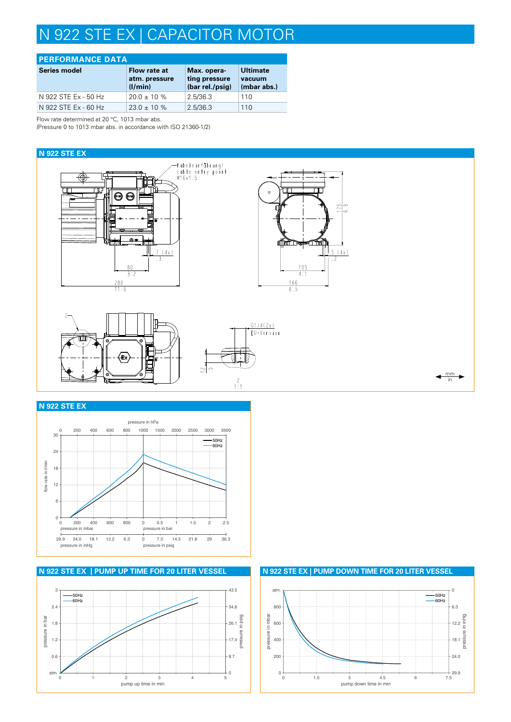# N 922 STE EX | CAPACITOR MOTOR

| <b>PERFORMANCE DATA</b> |                                          |                                                 |                                          |  |
|-------------------------|------------------------------------------|-------------------------------------------------|------------------------------------------|--|
| <b>Series model</b>     | Flow rate at<br>atm. pressure<br>(1/min) | Max. opera-<br>ting pressure<br>(bar rel./psig) | <b>Ultimate</b><br>vacuum<br>(mbar abs.) |  |
| N 922 STE Ex - 50 Hz    | $20.0 \pm 10 \%$                         | 2.5/36.3                                        | 110                                      |  |
| N 922 STE Ex - 60 Hz    | $23.0 \pm 10 \%$                         | 2.5/36.3                                        | 110                                      |  |

Flow rate determined at 20 °C, 1013 mbar abs.

(Pressure 0 to 1013 mbar abs. in accordance with ISO 21360-1/2)

#### **N 922 STE EX**



#### **N 922 STE EX**



### **N 922 STE EX | PUMP UP TIME FOR 20 LITER VESSEL N 922 STE EX | PUMP DOWN TIME FOR 20 LITER VESSEL**



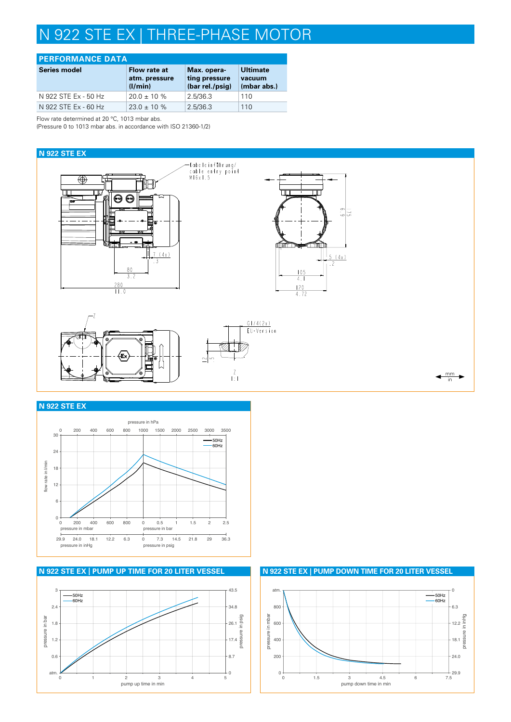# N 922 STE EX | THREE-PHASE MOTOR

#### **PERFORMANCE DATA**

| <b>Series model</b>  | Flow rate at<br>atm. pressure<br>(1/min) | Max. opera-<br>ting pressure<br>(bar rel./psig) | <b>Ultimate</b><br>vacuum<br>(mbar abs.) |
|----------------------|------------------------------------------|-------------------------------------------------|------------------------------------------|
| N 922 STE Ex - 50 Hz | $20.0 \pm 10 \%$                         | 2.5/36.3                                        | 110                                      |
| N 922 STE Ex - 60 Hz | $23.0 \pm 10 \%$                         | 2.5/36.3                                        | 110                                      |

Flow rate determined at 20 °C, 1013 mbar abs.

(Pressure 0 to 1013 mbar abs. in accordance with ISO 21360-1/2)





#### **N 922 STE EX**





**N 922 STE EX | PUMP UP TIME FOR 20 LITER VESSEL N 922 STE EX | PUMP DOWN TIME FOR 20 LITER VESSEL**